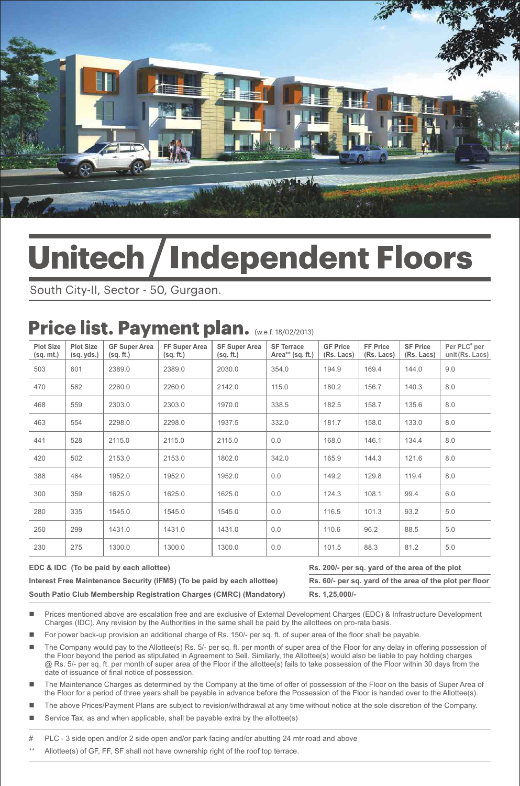

# **Unitech / Independent Floors**

South City-II, Sector - 50, Gurgaon.

## Price list. Payment plan. (W.e.f. 18/02/2013)

| <b>Plot Size</b><br>(sq. mt.) | <b>Plot Size</b><br>(sq. yds.) | <b>GF Super Area</b><br>(sq. ft.) | FF Super Area<br>(sq. ft.) | <b>SF Super Area</b><br>(sq. ft.) | <b>SF Terrace</b><br>Area** $(sq. ft.)$ | <b>GF Price</b><br>(Rs. Lacs) | FF Price<br>(Rs. Lacs) | <b>SF Price</b><br>(Rs. Lacs) | Per PLC <sup>#</sup> per<br>unit (Rs. Lacs) |
|-------------------------------|--------------------------------|-----------------------------------|----------------------------|-----------------------------------|-----------------------------------------|-------------------------------|------------------------|-------------------------------|---------------------------------------------|
| 503                           | 601                            | 2389.0                            | 2389.0                     | 2030.0                            | 354.0                                   | 194.9                         | 169.4                  | 144.0                         | 9.0                                         |
| 470                           | 562                            | 2260.0                            | 2260.0                     | 2142.0                            | 115.0                                   | 180.2                         | 156.7                  | 140.3                         | 8.0                                         |
| 468                           | 559                            | 2303.0                            | 2303.0                     | 1970.0                            | 338.5                                   | 182.5                         | 158.7                  | 135.6                         | 8.0                                         |
| 463                           | 554                            | 2298.0                            | 2298.0                     | 1937.5                            | 332.0                                   | 181.7                         | 158.0                  | 133.0                         | 8.0                                         |
| 441                           | 528                            | 2115.0                            | 2115.0                     | 2115.0                            | 0.0                                     | 168.0                         | 146.1                  | 134.4                         | 8.0                                         |
| 420                           | 502                            | 2153.0                            | 2153.0                     | 1802.0                            | 342.0                                   | 165.9                         | 144.3                  | 121.6                         | 8.0                                         |
| 388                           | 464                            | 1952.0                            | 1952.0                     | 1952.0                            | 0.0                                     | 149.2                         | 129.8                  | 119.4                         | 8.0                                         |
| 300                           | 359                            | 1625.0                            | 1625.0                     | 1625.0                            | 0.0                                     | 124.3                         | 108.1                  | 99.4                          | 6.0                                         |
| 280                           | 335                            | 1545.0                            | 1545.0                     | 1545.0                            | 0.0                                     | 116.5                         | 101.3                  | 93.2                          | 5.0                                         |
| 250                           | 299                            | 1431.0                            | 1431.0                     | 1431.0                            | 0.0                                     | 110.6                         | 96.2                   | 88.5                          | 5.0                                         |
| 230                           | 275                            | 1300.0                            | 1300.0                     | 1300.0                            | 0.0                                     | 101.5                         | 88.3                   | 81.2                          | 5.0                                         |

**EDC & IDC (To be paid by each allottee) Rs. 200/- per sq. yard of the area of the plot Interest Free Maintenance Security (IFMS) (To be paid by each allottee) Rs. 60/- per sq. yard of the area of the plot per floor South Patio Club Membership Registration Charges (CMRC) (Mandatory) Rs. 1,25,000/-**

Prices mentioned above are escalation free and are exclusive of External Development Charges (EDC) & Infrastructure Development Charges (IDC). Any revision by the Authorities in the same shall be paid by the allottees on pro-rata basis.

- For power back-up provision an additional charge of Rs. 150/- per sq. ft. of super area of the floor shall be payable.
- The Company would pay to the Allottee(s) Rs. 5/- per sq. ft. per month of super area of the Floor for any delay in offering possession of the Floor beyond the period as stipulated in Agreement to Sell. Similarly, the Allottee(s) would also be liable to pay holding charges @ Rs. 5/- per sq. ft. per month of super area of the Floor if the allottee(s) fails to take possession of the Floor within 30 days from the date of issuance of final notice of possession.
- The Maintenance Charges as determined by the Company at the time of offer of possession of the Floor on the basis of Super Area of the Floor for a period of three years shall be payable in advance before the Possession of the Floor is handed over to the Allottee(s).
- The above Prices/Payment Plans are subject to revision/withdrawal at any time without notice at the sole discretion of the Company.
- Service Tax, as and when applicable, shall be payable extra by the allottee(s)

PLC - 3 side open and/or 2 side open and/or park facing and/or abutting 24 mtr road and above

Allottee(s) of GF, FF, SF shall not have ownership right of the roof top terrace.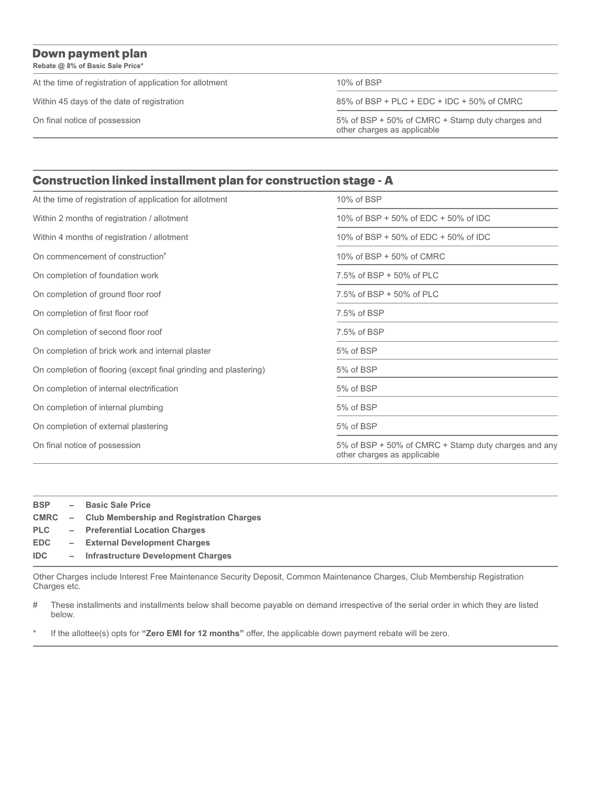**Rebate @ 8% of Basic Sale Price\***

At the time of registration of application for allotment 10% of BSP

Within 45 days of the date of registration 85% of BSP + PLC + EDC + IDC + 50% of CMRC

On final notice of possession 5% of BSP + 50% of CMRC + Stamp duty charges and other charges as applicable

#### **Construction linked installment plan for construction stage - A**

| At the time of registration of application for allotment         | 10% of BSP                                                                          |  |  |  |
|------------------------------------------------------------------|-------------------------------------------------------------------------------------|--|--|--|
| Within 2 months of registration / allotment                      | 10% of BSP + 50% of EDC + 50% of IDC                                                |  |  |  |
| Within 4 months of registration / allotment                      | 10% of BSP + 50% of EDC + 50% of IDC                                                |  |  |  |
| On commencement of construction <sup>#</sup>                     | 10% of BSP + 50% of CMRC                                                            |  |  |  |
| On completion of foundation work                                 | 7.5% of BSP + 50% of PLC                                                            |  |  |  |
| On completion of ground floor roof                               | 7.5% of BSP + 50% of PLC                                                            |  |  |  |
| On completion of first floor roof                                | 7.5% of BSP                                                                         |  |  |  |
| On completion of second floor roof                               | 7.5% of BSP                                                                         |  |  |  |
| On completion of brick work and internal plaster                 | 5% of BSP                                                                           |  |  |  |
| On completion of flooring (except final grinding and plastering) | 5% of BSP                                                                           |  |  |  |
| On completion of internal electrification                        | 5% of BSP                                                                           |  |  |  |
| On completion of internal plumbing                               | 5% of BSP                                                                           |  |  |  |
| On completion of external plastering                             | 5% of BSP                                                                           |  |  |  |
| On final notice of possession                                    | 5% of BSP + 50% of CMRC + Stamp duty charges and any<br>other charges as applicable |  |  |  |

| <b>BSP</b> | - Basic Sale Price                              |
|------------|-------------------------------------------------|
|            | CMRC – Club Membership and Registration Charges |
| <b>PLC</b> | - Preferential Location Charges                 |
| <b>EDC</b> | - External Development Charges                  |
| IDC.       | - Infrastructure Development Charges            |
|            |                                                 |

Other Charges include Interest Free Maintenance Security Deposit, Common Maintenance Charges, Club Membership Registration Charges etc.

# These installments and installments below shall become payable on demand irrespective of the serial order in which they are listed below.

\* If the allottee(s) opts for **"Zero EMI for 12 months"** offer, the applicable down payment rebate will be zero.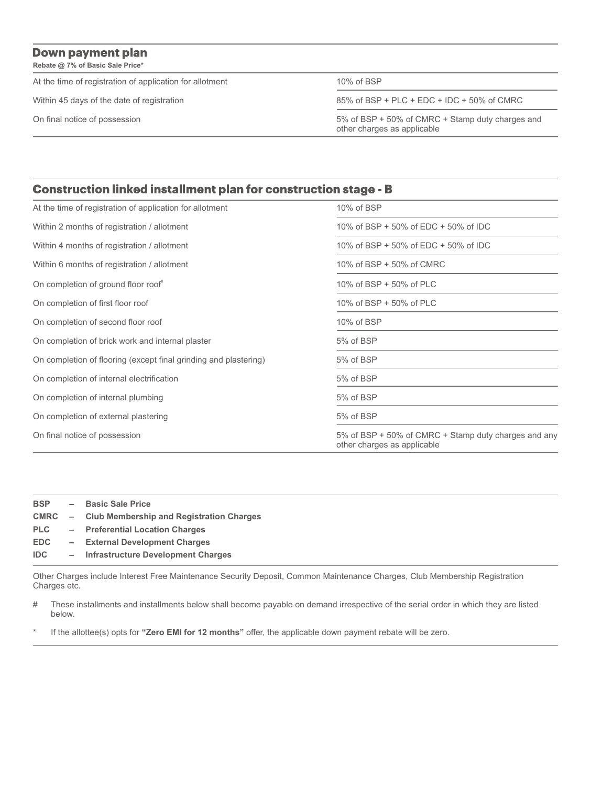**Rebate @ 7% of Basic Sale Price\***

At the time of registration of application for allotment 10% of BSP

Within 45 days of the date of registration 85% of BSP + PLC + EDC + IDC + 50% of CMRC

On final notice of possession 5% of BSP + 50% of CMRC + Stamp duty charges and other charges as applicable

#### **Construction linked installment plan for construction stage - B**

| At the time of registration of application for allotment         | 10% of BSP                                                                          |  |  |  |
|------------------------------------------------------------------|-------------------------------------------------------------------------------------|--|--|--|
| Within 2 months of registration / allotment                      | 10% of BSP + 50% of EDC + 50% of IDC                                                |  |  |  |
| Within 4 months of registration / allotment                      | 10% of BSP + 50% of EDC + 50% of IDC                                                |  |  |  |
| Within 6 months of registration / allotment                      | 10% of BSP + 50% of CMRC                                                            |  |  |  |
| On completion of ground floor roof"                              | 10% of BSP + 50% of PLC                                                             |  |  |  |
| On completion of first floor roof                                | 10% of BSP + 50% of PLC                                                             |  |  |  |
| On completion of second floor roof                               | 10% of BSP                                                                          |  |  |  |
| On completion of brick work and internal plaster                 | 5% of BSP                                                                           |  |  |  |
| On completion of flooring (except final grinding and plastering) | 5% of BSP                                                                           |  |  |  |
| On completion of internal electrification                        | 5% of BSP                                                                           |  |  |  |
| On completion of internal plumbing                               | 5% of BSP                                                                           |  |  |  |
| On completion of external plastering                             | 5% of BSP                                                                           |  |  |  |
| On final notice of possession                                    | 5% of BSP + 50% of CMRC + Stamp duty charges and any<br>other charges as applicable |  |  |  |

| <b>BSP</b> | - Basic Sale Price                              |
|------------|-------------------------------------------------|
|            | CMRC – Club Membership and Registration Charges |
| <b>PLC</b> | - Preferential Location Charges                 |
| <b>EDC</b> | - External Development Charges                  |
| <b>IDC</b> | - Infrastructure Development Charges            |
|            |                                                 |

Other Charges include Interest Free Maintenance Security Deposit, Common Maintenance Charges, Club Membership Registration Charges etc.

# These installments and installments below shall become payable on demand irrespective of the serial order in which they are listed below.

If the allottee(s) opts for "Zero EMI for 12 months" offer, the applicable down payment rebate will be zero.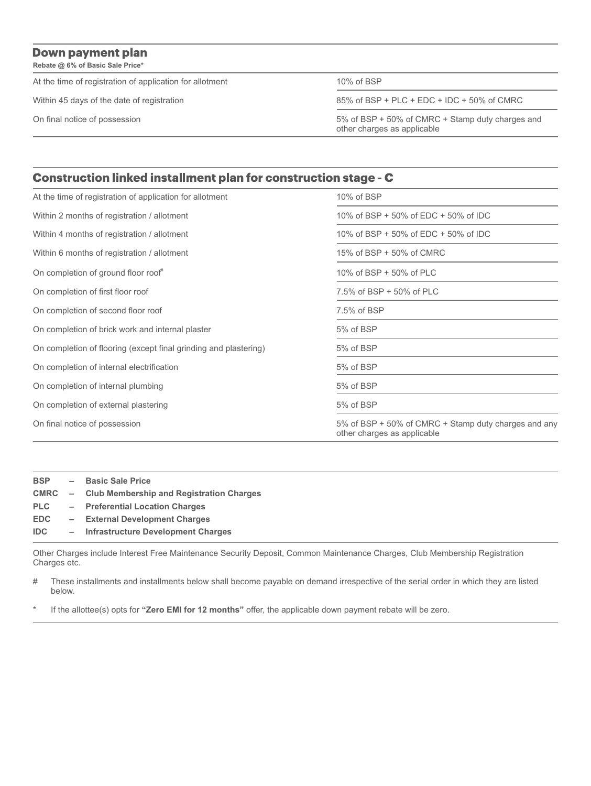**Rebate @ 6% of Basic Sale Price\***

At the time of registration of application for allotment 10% of BSP

Within 45 days of the date of registration 85% of BSP + PLC + EDC + IDC + 50% of CMRC

On final notice of possession 5% of BSP + 50% of CMRC + Stamp duty charges and other charges as applicable

#### Construction linked installment plan for construction stage - C

| At the time of registration of application for allotment         | 10% of BSP                                                                          |  |  |  |
|------------------------------------------------------------------|-------------------------------------------------------------------------------------|--|--|--|
| Within 2 months of registration / allotment                      | 10% of BSP + 50% of EDC + 50% of IDC                                                |  |  |  |
| Within 4 months of registration / allotment                      | 10% of BSP + 50% of EDC + 50% of IDC                                                |  |  |  |
| Within 6 months of registration / allotment                      | 15% of BSP + 50% of CMRC                                                            |  |  |  |
| On completion of ground floor roof"                              | 10% of BSP + 50% of PLC                                                             |  |  |  |
| On completion of first floor roof                                | 7.5% of BSP + 50% of PLC                                                            |  |  |  |
| On completion of second floor roof                               | 7.5% of BSP                                                                         |  |  |  |
| On completion of brick work and internal plaster                 | 5% of BSP                                                                           |  |  |  |
| On completion of flooring (except final grinding and plastering) | 5% of BSP                                                                           |  |  |  |
| On completion of internal electrification                        | 5% of BSP                                                                           |  |  |  |
| On completion of internal plumbing                               | 5% of BSP                                                                           |  |  |  |
| On completion of external plastering                             | 5% of BSP                                                                           |  |  |  |
| On final notice of possession                                    | 5% of BSP + 50% of CMRC + Stamp duty charges and any<br>other charges as applicable |  |  |  |

| <b>BSP</b> | $\overline{\phantom{a}}$ | <b>Basic Sale Price</b>                                |
|------------|--------------------------|--------------------------------------------------------|
|            |                          | <b>CMRC</b> – Club Membership and Registration Charges |
| <b>PLC</b> |                          | - Preferential Location Charges                        |
| <b>EDC</b> |                          | - External Development Charges                         |
| IDC.       |                          | - Infrastructure Development Charges                   |
|            |                          |                                                        |

Other Charges include Interest Free Maintenance Security Deposit, Common Maintenance Charges, Club Membership Registration Charges etc.

| # These installments and installments below shall become payable on demand irrespective of the serial order in which they are listed |
|--------------------------------------------------------------------------------------------------------------------------------------|
| below.                                                                                                                               |

If the allottee(s) opts for "Zero EMI for 12 months" offer, the applicable down payment rebate will be zero.